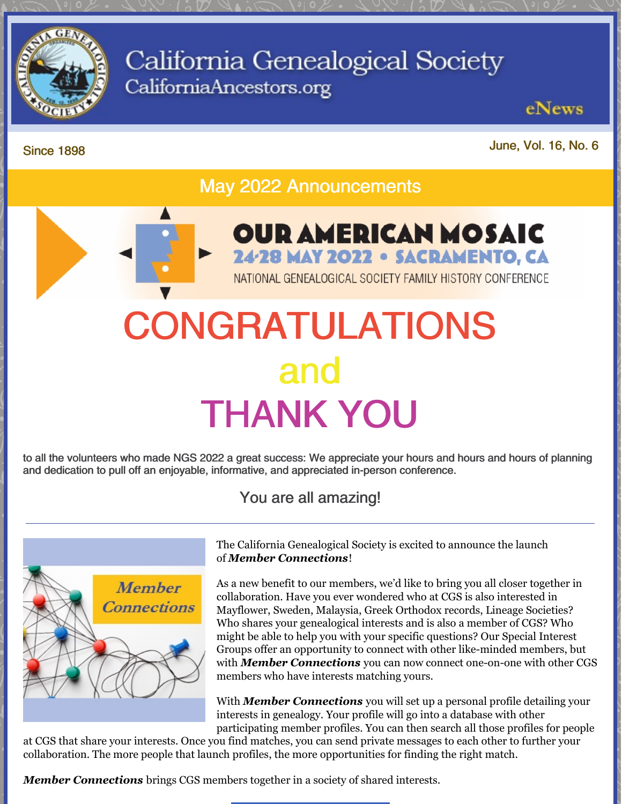

# California Genealogical Society CaliforniaAncestors.org

eNews

Since 1898

June, Vol. 16, No. 6

May 2022 Announcements

# CONGRATULATIONS and THANK YOU

to all the volunteers who made NGS 2022 a great success: We appreciate your hours and hours and hours of planning and dedication to pull off an enjoyable, informative, and appreciated in-person conference.

You are all amazing!



The California Genealogical Society is excited to announce the launch of *Member [Connections](https://www.californiaancestors.org/member-connections/)*!

**OUR AMERICAN MOSAIC** 

24-28 MAY 2022 . SACRAMENTO, CA

NATIONAL GENEALOGICAL SOCIETY FAMILY HISTORY CONFERENCE

As a new benefit to our members, we'd like to bring you all closer together in collaboration. Have you ever wondered who at CGS is also interested in Mayflower, Sweden, Malaysia, Greek Orthodox records, Lineage Societies? Who shares your genealogical interests and is also a member of CGS? Who might be able to help you with your specific questions? Our Special Interest Groups offer an opportunity to connect with other like-minded members, but with *Member [Connections](https://www.californiaancestors.org/member-connections/)* you can now connect one-on-one with other CGS members who have interests matching yours.

With *Member [Connections](https://www.californiaancestors.org/member-connections/)* you will set up a personal profile detailing your interests in genealogy. Your profile will go into a database with other participating member profiles. You can then search all those profiles for people

at CGS that share your interests. Once you find matches, you can send private messages to each other to further your collaboration. The more people that launch profiles, the more opportunities for finding the right match.

*Member [Connections](https://www.californiaancestors.org/member-connections/)* brings CGS members together in a society of shared interests.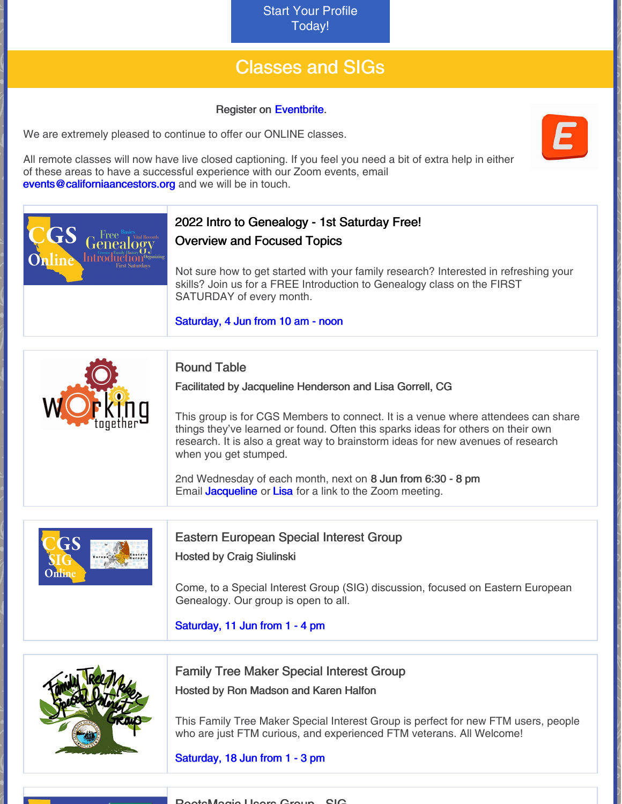Start Your Profile [Today!](https://www.californiaancestors.org/member-connections/)

## Classes and SIGs

#### Register on [Eventbrite](https://www.eventbrite.com/o/california-genealogical-society-amp-library-5537240243).

We are extremely pleased to continue to offer our ONLINE classes.

All remote classes will now have live closed captioning. If you feel you need a bit of extra help in either of these areas to have a successful experience with our Zoom events, email [events@californiaancestors.org](mailto:events@californiaancestors.org) and we will be in touch.



RootsMagic Users Group - SIG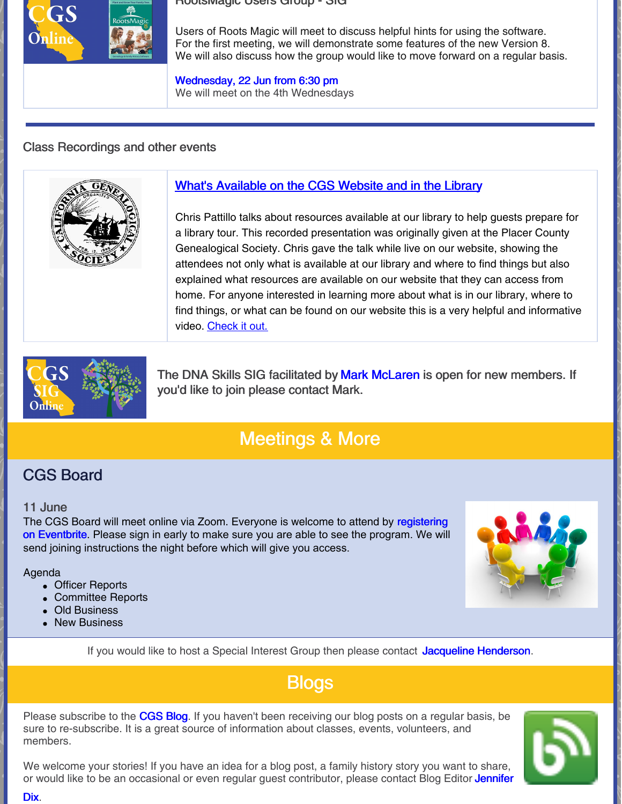#### RootsMagic Users Group - SIG



Users of Roots Magic will meet to discuss helpful hints for using the software. For the first meeting, we will demonstrate some features of the new Version 8. We will also discuss how the group would like to move forward on a regular basis.

[Wednesday,](https://www.eventbrite.com/e/roots-magic-special-interest-group-registration-292926088817?aff=ebdsoporgprofile) 22 Jun from 6:30 pm We will meet on the 4th Wednesdays

#### Class Recordings and other events



#### What's [Available](https://vimeo.com/647623703) on the CGS Website and in the Library

Chris Pattillo talks about resources available at our library to help guests prepare for a library tour. This recorded presentation was originally given at the Placer County Genealogical Society. Chris gave the talk while live on our website, showing the attendees not only what is available at our library and where to find things but also explained what resources are available on our website that they can access from home. For anyone interested in learning more about what is in our library, where to find things, or what can be found on our website this is a very helpful and informative video. [Check](https://vimeo.com/647623703) it out.



The DNA Skills SIG facilitated by Mark [McLaren](mailto:greatscot@earthlink.net) is open for new members. If you'd like to join please contact Mark.

## Meetings & More

### CGS Board

#### 11 June

The CGS Board will meet online via Zoom. Everyone is welcome to attend by [registering](https://tinyurl.com/48ysezf6) on Eventbrite. Please sign in early to make sure you are able to see the program. We will send joining instructions the night before which will give you access.

#### Agenda

- Officer Reports
- Committee Reports
- Old Business
- **New Business**

If you would like to host a Special Interest Group then please contact Jacqueline [Henderson](mailto:jhenderson@californiaancestors.org).

## **Blogs**

Please subscribe to the [CGS](http://blog.californiaancestors.org/) Blog. If you haven't been receiving our blog posts on a regular basis, be sure to re-subscribe. It is a great source of information about classes, events, volunteers, and members.

We welcome your stories! If you have an idea for a blog post, a family history story you want to share, or would like to be an occasional or even regular guest [contributor,](mailto:jdix@californiaancestors.org) please contact Blog Editor Jennifer

Dix.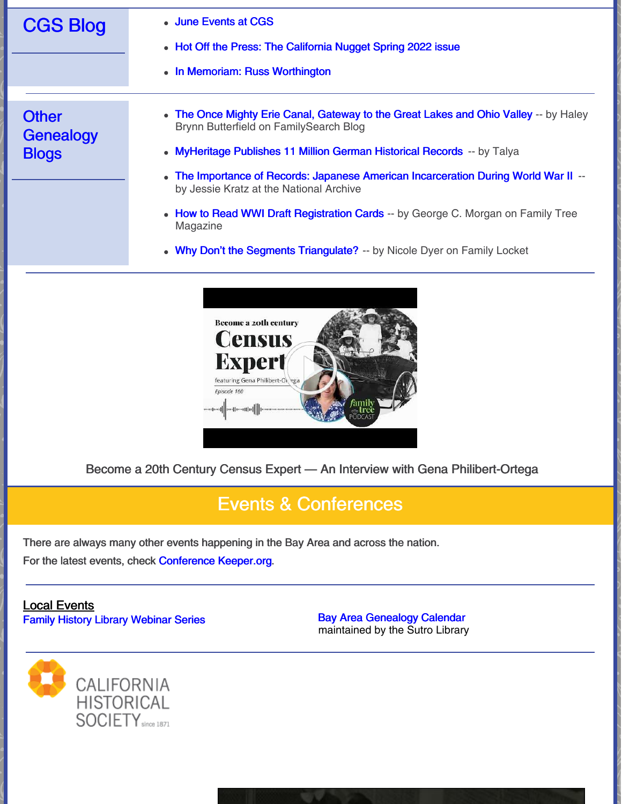| <b>CGS Blog</b>                           | • June Events at CGS<br>• Hot Off the Press: The California Nugget Spring 2022 issue<br>• In Memoriam: Russ Worthington                                                                                                                                                                                                                                                                                                                                                                                                            |
|-------------------------------------------|------------------------------------------------------------------------------------------------------------------------------------------------------------------------------------------------------------------------------------------------------------------------------------------------------------------------------------------------------------------------------------------------------------------------------------------------------------------------------------------------------------------------------------|
| <b>Other</b><br>Genealogy<br><b>Blogs</b> | • The Once Mighty Erie Canal, Gateway to the Great Lakes and Ohio Valley -- by Haley<br>Brynn Butterfield on FamilySearch Blog<br>• MyHeritage Publishes 11 Million German Historical Records -- by Talya<br>The Importance of Records: Japanese American Incarceration During World War II --<br>$\bullet$<br>by Jessie Kratz at the National Archive<br>• How to Read WWI Draft Registration Cards -- by George C. Morgan on Family Tree<br>Magazine<br>• Why Don't the Segments Triangulate? -- by Nicole Dyer on Family Locket |

Become a 20th Century Census Expert — An Interview with Gena Philibert-Ortega

## Events & Conferences

There are always many other events happening in the Bay Area and across the nation.

Become a zoth century Census

**Expert** featuring Gena Philibert-O

Episode 160

For the latest events, check [Conference](https://conferencekeeper.org/) Keeper.org.

#### Local Events Family History Library [Webinar](https://www.familysearch.org/wiki/en/Family_History_Library_Classes_and_Webinars) Series **Bay Area [Genealogy](https://www.library.ca.gov/sutro/genealogy/calendar/) Calendar**

maintained by the Sutro Library

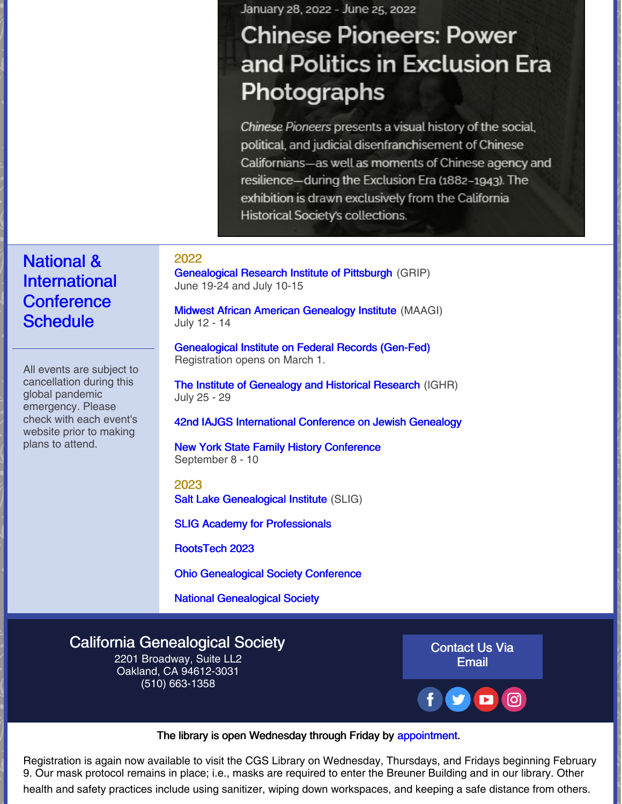January 28, 2022 - June 25, 2022

# **Chinese Pioneers: Power** and Politics in Exclusion Era Photographs

Chinese Pioneers presents a visual history of the social, political, and judicial disenfranchisement of Chinese Californians-as well as moments of Chinese agency and resilience-during the Exclusion Era (1882-1943). The exhibition is drawn exclusively from the California Historical Society's collections.

#### 2022

[Genealogical](https://www.gripitt.org/courses/) Research Institute of Pittsburgh (GRIP) June 19-24 and July 10-15

Midwest African American [Genealogy](https://maagi.regfox.com/2022-maagi) Institute (MAAGI) July 12 - 14

[Genealogical](https://www.gen-fed.org/gen-fed-2022-registration/) Institute on Federal Records (Gen-Fed) Registration opens on March 1.

The Institute of [Genealogy](https://ighr.gagensociety.org/ighr-2022/) and Historical Research (IGHR) July 25 - 29

42nd IAJGS [International](https://s4.goeshow.com/iajgs/annual/2022/) Conference on Jewish Genealogy

New York State Family History [Conference](https://www.newyorkfamilyhistory.org/nysfhc/2022) September 8 - 10

2023 Salt Lake [Genealogical](https://slig.ugagenealogy.org/cpage.php?pt=524) Institute (SLIG)

SLIG Academy for [Professionals](https://slig.ugagenealogy.org/cpage.php?pt=630)

[RootsTech](https://www.familysearch.org/rootstech/) 2023

Ohio [Genealogical](https://www.ogsconference.org/) Society Conference

National [Genealogical](https://conference.ngsgenealogy.org/ngs-2022-live/) Society

#### California [Genealogical](https://www.californiaancestors.org/) Society

2201 Broadway, Suite LL2 Oakland, CA 94612-3031 (510) 663-1358

[Contact](mailto:sblandon@californiaancestors.org) Us Via Email



The library is open Wednesday through Friday by [appointment](https://www.eventbrite.com/e/cgs-library-visit-registration-2022-registration-230442448567?aff=ebdsoporgprofile).

Registration is again now available to visit the CGS Library on Wednesday, Thursdays, and Fridays beginning February 9. Our mask protocol remains in place; i.e., masks are required to enter the Breuner Building and in our library. Other health and safety practices include using sanitizer, wiping down workspaces, and keeping a safe distance from others.

## National & International **Conference Schedule**

All events are subject to cancellation during this global pandemic emergency. Please check with each event's website prior to making plans to attend.